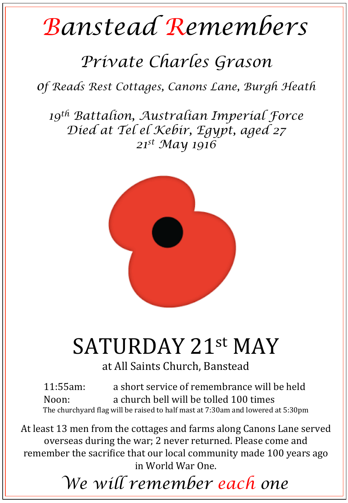## *Banstead Remembers*

## *Private Charles Grason*

*of Reads Rest Cottages, Canons Lane, Burgh Heath* 

*19th Battalion, Australian Imperial Force Died at Tel el Kebir, Egypt, aged 27 21st May 1916* 



## SATURDAY 21st MAY

at All Saints Church, Banstead

11:55am: a short service of remembrance will be held Noon: a church bell will be tolled 100 times The churchyard flag will be raised to half mast at 7:30am and lowered at 5:30pm

At least 13 men from the cottages and farms along Canons Lane served overseas during the war; 2 never returned. Please come and remember the sacrifice that our local community made 100 years ago in World War One. 

*We will remember each one*